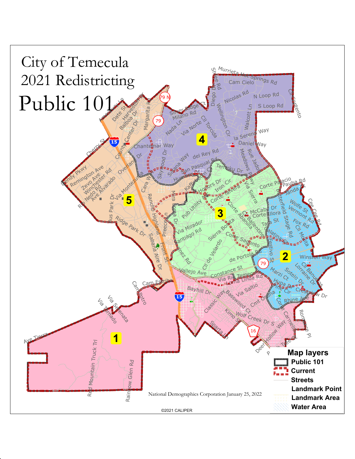